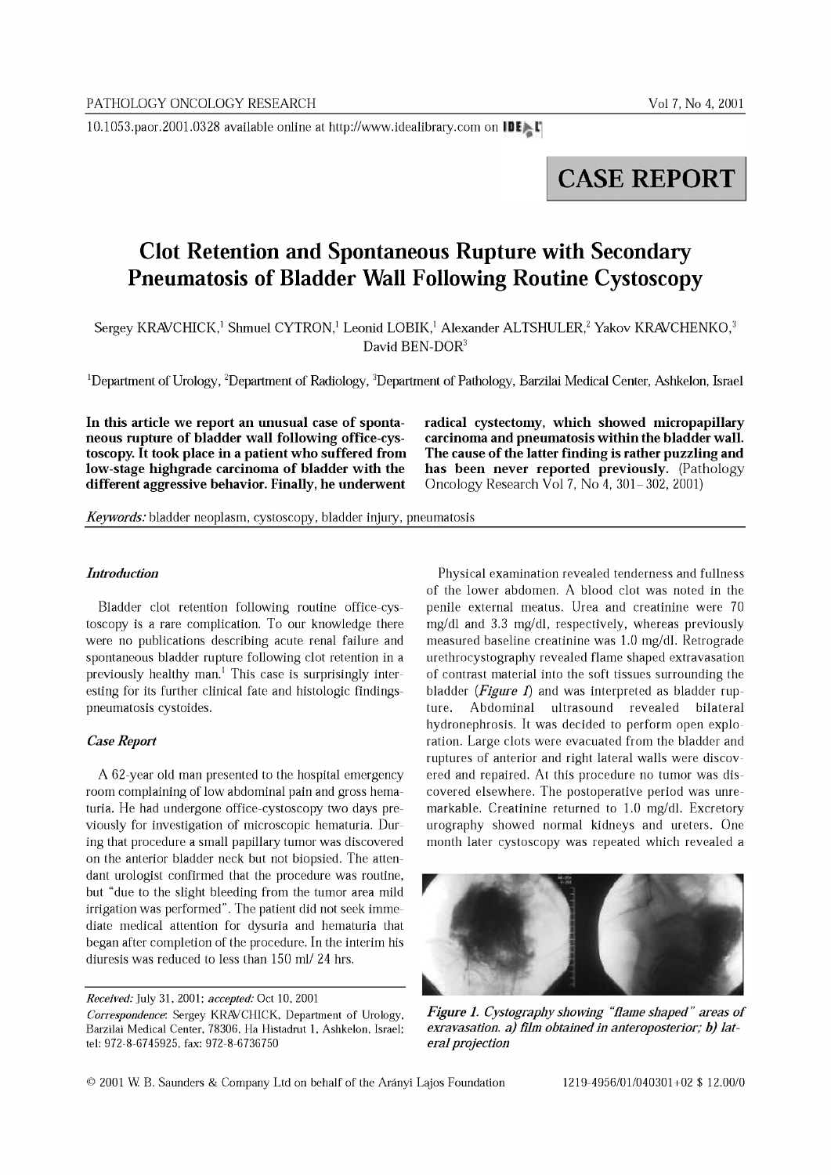10.1053.paor.2001.0328 available online at http://www.idealibrary.com on IDE

# **CASE REPORT**

# **Clot Retention and Spontaneous Rupture with Secondary Pneumatosis of Bladder Wall Following Routine Cystoscopy**

Sergey KRAVCHICK,<sup>1</sup> Shmuel CYTRON,<sup>1</sup> Leonid LOBIK,<sup>1</sup> Alexander ALTSHULER,<sup>2</sup> Yakov KRAVCHENKO,<sup>3</sup> David BEN-DOR<sup>3</sup>

1Department of Urology, 2Department of Radiology, 3Department of Pathology, Barzilai Medical Center, Ashkelon, Israel

In this article we report an unusual case of spontaneous rupture of bladder wall following office-cystoscopy. It took place in a patient who suffered from low-stage highgrade carcinoma of bladder with the different aggressive behavior. Finally, he underwent

radical cystectomy, which showed micropapillary carcinoma and pneumatosis within the bladder wall. The cause of the latter finding is rather puzzling and has been never reported previously. (Pathology Oncology Research Vol 7, No  $4, 301-302, 2001$ 

*Keywords:* bladder neoplasm, cystoscopy, bladder injury, pneumatosis

## *Introduction*

Bladder clot retention following routine office-cystoscopy is a rare complication. To our knowledge there were no publications describing acute renal failure and spontaneous bladder rupture following clot retention in a previously healthy man.<sup>1</sup> This case is surprisingly interesting for its further clinical fate and histologic findingspneumatosis cystoides.

## *Case Report*

A 52-year old man presented to the hospital emergency room complaining of low abdominal pain and gross hematuria. He had undergone office-cystoscopy two days previously for investigation of microscopic hematuria. During that procedure a small papillary tumor was discovered on the anterior bladder neck but not biopsied. The attendant urologist confirmed that the procedure was routine, but "due to the slight bleeding from the tumor area mild irrigation was performed". The patient did not seek immediate medical attention for dysuria and hematuria that began after completion of the procedure. In the interim his diuresis was reduced to less than 150 ml/ 24 hrs.

*Received:* July 31,2001: *accepted:* Oct 10, 2001

*Correspondence:* Sergey KRAVCHICK, Department of Urology, Barzilai Medical Center, 78306, Ha Histadrut 1, Ashkelon, Israel: tel: 972-8-6745925, fax: 972-8-6736750

Physical examination revealed tenderness and fullness of the lower abdomen. A blood clot was noted in the penile external meatus. Urea and creatinine were 70 mg/dl and 3.3 mg/dl, respectively, whereas previously measured baseline creatinine was 1.0 mg/dl. Retrograde urethrocystography revealed flame shaped extravasation of contrast material into the soft tissues surrounding the bladder *(Figure* 1) and was interpreted as bladder rupture. Abdominal ultrasound revealed bilateral hydronephrosis. It was decided to perform open exploration. Large clots were evacuated from the bladder and ruptures of anterior and right lateral walls were discovered and repaired. At this procedure no tumor was discovered elsewhere. The postoperative period was unremarkable. Creatinine returned to 1.0 mg/dl. Excretory urography showed normal kidneys and ureters. One month later cystoscopy was repeated which revealed a



*Figure* 1. *Cystography showing "flame shaped" areas of exravasation. a) film obtained in anteroposterior; b) lateral projection*